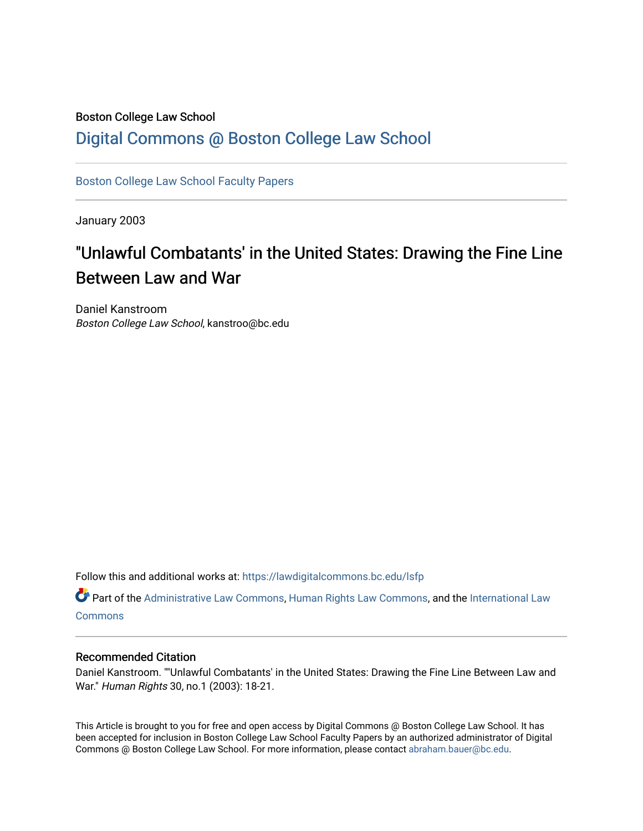## Boston College Law School [Digital Commons @ Boston College Law School](https://lawdigitalcommons.bc.edu/)

[Boston College Law School Faculty Papers](https://lawdigitalcommons.bc.edu/lsfp) 

January 2003

## "Unlawful Combatants' in the United States: Drawing the Fine Line Between Law and War

Daniel Kanstroom Boston College Law School, kanstroo@bc.edu

Follow this and additional works at: [https://lawdigitalcommons.bc.edu/lsfp](https://lawdigitalcommons.bc.edu/lsfp?utm_source=lawdigitalcommons.bc.edu%2Flsfp%2F691&utm_medium=PDF&utm_campaign=PDFCoverPages) 

Part of the [Administrative Law Commons,](http://network.bepress.com/hgg/discipline/579?utm_source=lawdigitalcommons.bc.edu%2Flsfp%2F691&utm_medium=PDF&utm_campaign=PDFCoverPages) [Human Rights Law Commons,](http://network.bepress.com/hgg/discipline/847?utm_source=lawdigitalcommons.bc.edu%2Flsfp%2F691&utm_medium=PDF&utm_campaign=PDFCoverPages) and the [International Law](http://network.bepress.com/hgg/discipline/609?utm_source=lawdigitalcommons.bc.edu%2Flsfp%2F691&utm_medium=PDF&utm_campaign=PDFCoverPages) **[Commons](http://network.bepress.com/hgg/discipline/609?utm_source=lawdigitalcommons.bc.edu%2Flsfp%2F691&utm_medium=PDF&utm_campaign=PDFCoverPages)** 

#### Recommended Citation

Daniel Kanstroom. ""Unlawful Combatants' in the United States: Drawing the Fine Line Between Law and War." Human Rights 30, no.1 (2003): 18-21.

This Article is brought to you for free and open access by Digital Commons @ Boston College Law School. It has been accepted for inclusion in Boston College Law School Faculty Papers by an authorized administrator of Digital Commons @ Boston College Law School. For more information, please contact [abraham.bauer@bc.edu.](mailto:abraham.bauer@bc.edu)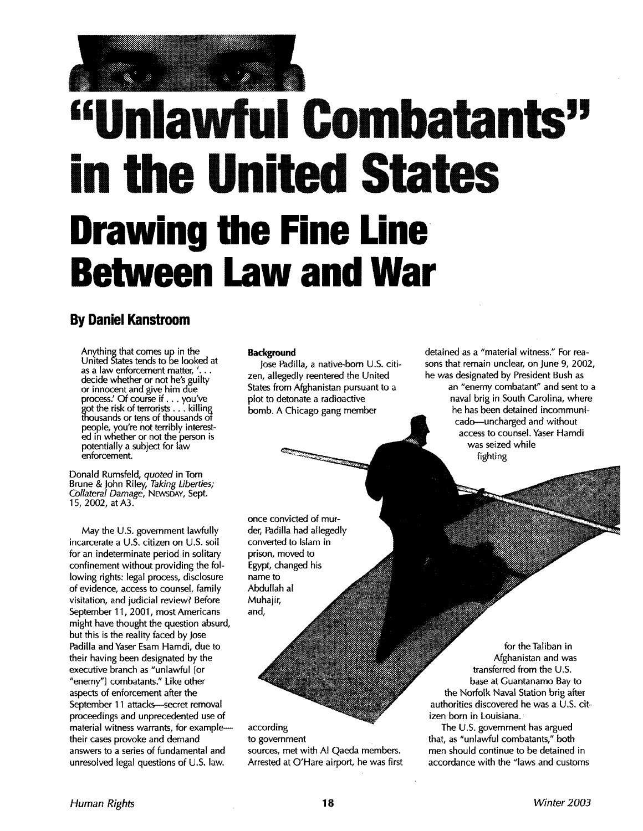# "Unlawful Combatants" in the United **States Drawing the Fine Line Between Law and War**

## **By Daniel Kanstroom**

thousands or tens of thousands of people, you're not terribly interestpotentially a subject for law<br>enforcement. efficient of the contract of the contract of the contract of the contract of the contract of the contract of the contract of the contract of the contract of the contract of the contract of the contract of the contract of t

Donald Rumsfeld, quoted in Tom Brune & John Riley, Taking Liberties; *Collateral* Damage, **NEWSDAY,** Sept. 15, 2002, at **A3.**

May the U.S. government lawfully der, Padilla had allegedly incarcerate a U.S. citizen on U.S. soil converted to Islam in for an indeterminate period in solitary prison, moved to confinement without providing the fol- Egypt, changed his lowing rights: legal process, disclosure name to of evidence, access to counsel, family Abdullah al visitation, and judicial review? Before Muhajir, September 11, 2001, most Americans and, might have thought the question absurd, but this is the reality faced **by** Jose Padilla and Yaser Esam Hamdi, due to **the Taliban in** the Taliban in their having been designated by the **Afghanistan and was** and was a structure of the Afghanistan and was a structure of the Afghanistan and was the Afghanistan and was a structure of the Afghanistan and was a structure of executive branch as "unlawful [or **the contract of the contract of the contract of the contract of transferred from the U.S.** "enemy"] combatants." Like other base at Guantanamo Bay to aspects of enforcement after the the the the the Norfolk Naval Station brig after September 11 attacks---secret removal **authorities discovered he was a U.S. cit**proceedings and unprecedented use of izen born in Louisiana. material witness warrants, for example- according The U.S. government has argued their cases provoke and demand to government that, as "unlawful combatants," both answers to a series of fundamental and sources, met with **Al** Qaeda members. men should continue to be detained in

Anything that comes up in the **Background by the company of the company of the detained as a "material witness." For rea-**<br>United States tends to be looked at **Background** a native-born U.S. citi- sons that remain unclear, United States tends to be looked at Jose Padilla, a native-born U.S. citi- sons that remain unclear, on June 9, 2002 **I** as a law enforcement matter, **'...** zen, allegedly reentered the United he was designated **by** President Bush as decide whether or not he's guilty an "enemy combatant" and sent to a or innocent and give him due states from Afghanistan pursuant to a statement of the memy combatant" and sent to process.' Of course if **...** you've plot to detonate a radioactive naval brig in South Carolina, where got the risk of terroriss.. killing 1 bomb. A Chicago gang member he has been detained incommunicado-uncharged and without ed in whether or not terms where the person is<br>
ed in whether or not the person is<br>
motentially a subject for law

once convicted of mur-

unresolved legal questions of U.S. law. Arrested at O'Hare airport, he was first accordance with the "laws and customs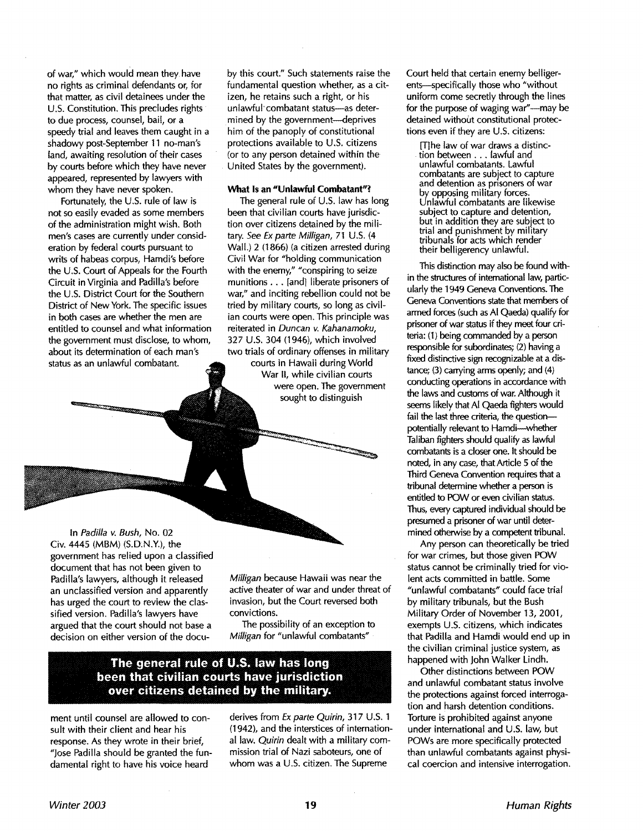of war," which would mean they have no rights as criminal defendants or, for that matter, as civil detainees under the U.S. Constitution. This precludes rights to due process, counsel, bail, or a speedy trial and leaves them caught in a shadowy post-September 11 no-man's land, awaiting resolution of their cases by courts before which they have never appeared, represented by lawyers with whom they have never spoken.

Fortunately, the U.S. rule of law is not so easily evaded as some members of the administration might wish. Both men's cases are currently under consideration by federal courts pursuant to writs of habeas corpus, Hamdi's before the U.S. Court of Appeals for the Fourth Circuit in Virginia and Padilla's before the U.S. District Court for the Southern District of New York. The specific issues in both cases are whether the men are entitled to counsel and what information the government must disclose, to whom, about its determination of each man's status as an unlawful combatant.

by this court." Such statements raise the fundamental question whether, as a citizen, he retains such a right, or his unlawful<sup>-</sup> combatant status-as determined by the government-deprives him of the panoply of constitutional protections available to U.S. citizens (or to any person detained within the United States by the government).

#### **What Is an "Unlawful Combatant"?**

The general rule of **U.S.** law has long been that civilian courts have jurisdiction over citizens detained **by** the military. See Ex parte Milligan, 71 **U.S.** (4 Wall.) 2 (1866) (a citizen arrested during Civil War for "holding communication with the enemy," "conspiring to seize munitions ... [and] liberate prisoners of war," and inciting rebellion could not be tried by military courts, so long as civilian courts were open. This principle was reiterated in Duncan v. Kahanamoku, 327 U.S. 304 (1946), which involved two trials of ordinary offenses in military

courts in Hawaii during World War II, while civilian courts were open. The government<br>sought to distinguish

In Padilla v. Bush, No. 02 Civ. 4445 (MBM) (S.D.N.Y.), the government has relied upon a classified document that has not been given to Padilla's lawyers, although it released an unclassified version and apparently has urged the court to review the classified version. Padilla's lawyers have argued that the court should not base a decision on either version of the docu-

Milligan because Hawaii was near the active theater of war and under threat of invasion, but the Court reversed both convictions.

The possibility of an exception to Milligan for "unlawful combatants"

### The general rule of U.S. law has long been that civilian courts have jurisdiction over citizens detained by the military.

ment until counsel are allowed to consult with their client and hear his response. As they wrote in their brief, "Jose Padilla should be granted the fundamental right to have his voice heard

derives from Ex parte Quirin, 317 U.S. 1 (1942), and the interstices of international law. Quirin dealt with a military commission trial of Nazi saboteurs, one of whom was a U.S. citizen. The Supreme

Court held that certain enemy belligerents--specifically those who "without uniform come secretly through the lines for the purpose of waging war"---may be detained without constitutional protections even if they are U.S. citizens:

[T]he law of war draws a distinction between **. ..,** lawful and unlawful combatants. Lawful combatants are subject to capture and detention as prisoners of war by opposing military forces. Unlawful combatants are likewise subject to capture and detention, but in addition they are subject to trial and punishment by military tribunals for acts which render their belligerency unlawful.

This distinction may also be found within the structures of international law, particularly the 1949 Geneva Conventions. The Geneva Conventions state that members of armed forces (such as Al Qaeda) qualify for prisoner of war status if they meet four criteria: (1) being commanded by a person responsible for subordinates; (2) having a fixed distinctive sign recognizable at a distance; (3) carrying arms openly; and (4) conducting operations in accordance with the laws and customs of war. Although it seems likely that Al Qaeda fighters would fail the last three criteria, the questionpotentially relevant to Hamdi--whether Taliban fighters should qualify as lawful combatants is a closer one. It should be noted, in any case, that Article 5 of the Third Geneva Convention requires that a tribunal determine whether a person is entitled to POW or even civilian status. Thus, every captured individual should be presumed a prisoner of war until determined otherwise by a competent tribunal.

Any person can theoretically be tried for war crimes, but those given POW status cannot be criminally tried for violent acts committed in battle. Some "unlawful combatants" could face trial by military tribunals, but the Bush Military Order of November 13, 2001, exempts U.S. citizens, which indicates that Padilla and Hamdi would end up in the civilian criminal justice system, as happened with John Walker Lindh.

Other distinctions between POW and unlawful combatant status involve the protections against forced interrogation and harsh detention conditions. Torture is prohibited against anyone under international and U.S. law, but POWs are more specifically protected than unlawful combatants against physical coercion and intensive interrogation.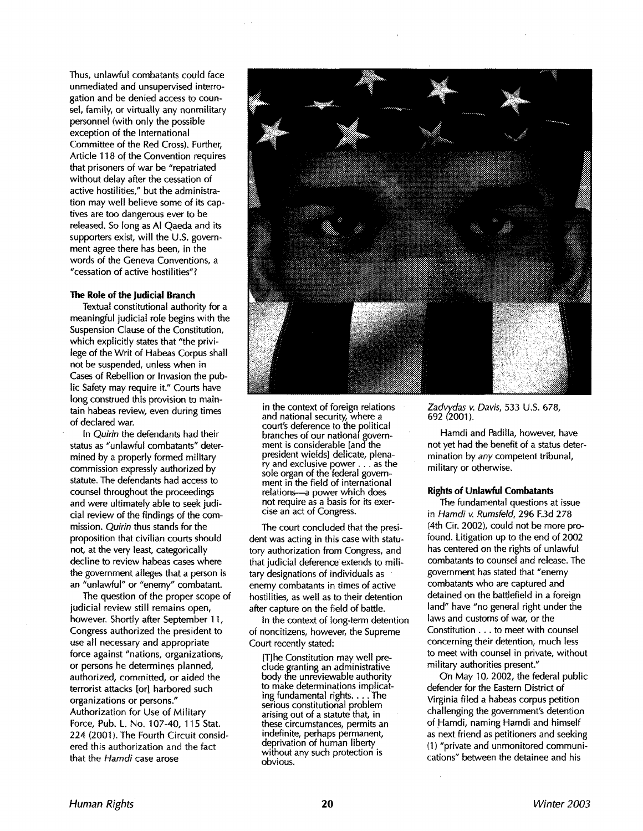Thus, unlawful combatants could face unmediated and unsupervised interrogation and be denied access to counsel, family, or virtually any nonmilitary personnel (with only the possible exception of the International Committee of the Red Cross). Further, Article 118 of the Convention requires that prisoners of war be "repatriated without delay after the cessation of active hostilities," but the administration may well believe some of its captives are too dangerous ever to be released. So long as **Al** Qaeda and its supporters exist, will the U.S. government agree there has been, in the words of the Geneva Conventions, a "cessation of active hostilities"?

#### **The Role of the Judicial Branch**

Textual constitutional authority for a meaningful judicial role begins with the Suspension Clause of the Constitution, which explicitly states that "the privilege of the Writ of Habeas Corpus shall not be suspended, unless when in Cases of Rebellion or Invasion the public Safety may require it." Courts have long construed this provision to maintain habeas review, even during times of declared war.

In Quirin the defendants had their status as "unlawful combatants" determined by a properly formed military commission expressly authorized by statute. The defendants had access to counsel throughout the proceedings and were ultimately able to seek judicial review of the findings of the commission. Quirin thus stands for the proposition that civilian courts should not, at the very least, categorically decline to review habeas cases where the government alleges that a person is an "unlawful" or "enemy" combatant.

The question of the proper scope of judicial review still remains open, however. Shortly after September **11,** Congress authorized the president to use all necessary and appropriate force against "nations, organizations, or persons he determines planned, authorized, committed, or aided the terrorist attacks [or] harbored such organizations or persons." Authorization for Use of Military Force, Pub. L. No. 107-40, 115 Stat. 224 (2001). The Fourth Circuit considered this authorization and the fact that the Hamdi case arose



in the context of foreign relations and national security, where a court's deference to the political branches of our national government is considerable [and the president wields] delicate, plenary and exclusive power **...** as the sole organ of the federal government in the field of international relations-a power which does not require as a basis for its exercise an act of Congress.

The court concluded that the president was acting in this case with statutory authorization from Congress, and that judicial deference extends to military designations of individuals as enemy combatants in times of active hostilities, as well as to their detention after capture on the field of battle.

In the context of long-term detention of noncitizens, however, the Supreme Court recently stated:

ITIhe Constitution may well preclude granting an administrative body the unreviewable authority to make determinations implicat- ing fundamental rights ... The serious constitutional problem arising out of a statute that, in these circumstances, permits an indefinite, perhaps permanent, deprivation of human liberty without any such protection is obvious.

#### Zadvydas v. Davis, 533 U.S. 678, 692 (2001).

Hamdi and Padilla, however, have not yet had the benefit of a status determination by any competent tribunal, military or otherwise.

#### **Rights of Unlawful Combatants**

The fundamental questions at issue in Hamdi v. Rumsfeld, 296 F.3d 278 (4th Cir. 2002), could not be more profound. Litigation up to the end of 2002 has centered on the rights of unlawful combatants to counsel and release. The government has stated that "enemy combatants who are captured and detained on the battlefield in a foreign land" have "no general right under the laws and customs of war, or the Constitution ... to meet with counsel concerning their detention, much less to meet with counsel in private, without military authorities present."

On May 10, 2002, the federal public defender for the Eastern District of Virginia filed a habeas corpus petition challenging the government's detention of Hamdi, naming Hamdi and himself as next friend as petitioners and seeking (1) "private and unmonitored communications" between the detainee and his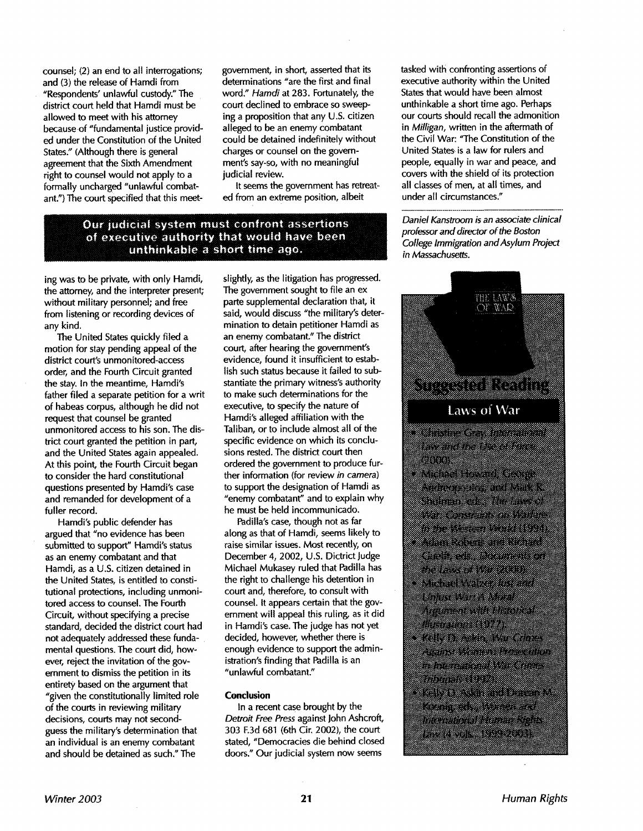counsel; (2) an end to all interrogations; and (3) the release of Hamdi from "Respondents' unlawful custody." The district court held that Hamdi must be allowed to meet with his attorney because of "fundamental justice provided under the Constitution of the United States." (Although there is general agreement that the Sixth Amendment right to counsel would not apply to a formally uncharged "unlawful combatant.") The court specified that this meetgovernment, in short, asserted that its determinations "are the first and final word." Hamdi at 283. Fortunately, the court declined to embrace so sweeping a proposition that any U.S. citizen alleged to be an enemy combatant could be detained indefinitely without charges or counsel on the government's say-so, with no meaningful judicial review.

It seems the government has retreated from an extreme position, albeit

#### Our judicial system must confront assertions of executive authority that would have been unthinkable a short time ago.

ing was to be private, with only Hamdi, the attorney, and the interpreter present; without military personnel; and free from listening or recording devices of any kind.

The United States quickly filed a motion for stay pending appeal of the district court's unmonitored-access order, and the Fourth Circuit granted the stay. In the meantime, Hamdi's father filed a separate petition for a writ of habeas corpus, although he did not request that counsel be granted unmonitored access to his son. The district court granted the petition in part, and the United States again appealed. At this point, the Fourth Circuit began to consider the hard constitutional questions presented by Hamdi's case and remanded for development of a fuller record.

Hamdi's public defender has argued that "no evidence has been submitted to support" Hamdi's status as an enemy combatant and that Hamdi, as a U.S. citizen detained in the United States, is entitled to constitutional protections, including unmonitored access to counsel. The Fourth Circuit, without specifying a precise standard, decided the district court had not adequately addressed these fundamental questions. The court did, however, reject the invitation of the government to dismiss the petition in its entirety based on the argument that "given the constitutionally limited role of the courts in reviewing military decisions, courts may not secondguess the military's determination that an individual is an enemy combatant and should be detained as such." The

slightly, as the litigation has progressed. The government sought to file an ex parte supplemental declaration that, it said, would discuss "the military's determination to detain petitioner Hamdi as an enemy combatant." The district court, after hearing the government's evidence, found it insufficient to establish such status because it failed to substantiate the primary witness's authority to make such determinations for the executive, to specify the nature of Hamdi's alleged affiliation with the Taliban, or to include almost all of the specific evidence on which its conclusions rested. The district court then ordered the government to produce further information (for review in camera) to support the designation of Hamdi as "enemy combatant" and to explain why he must be held incommunicado.

Padilla's case, though not as far along as that of Hamdi, seems likely to raise similar issues. Most recently, on December 4, 2002, U.S. Dictrict Judge Michael Mukasey ruled that Padilla has the right to challenge his detention in court and, therefore, to consult with counsel. It appears certain that the government will appeal this ruling, as it did in Hamdi's case. The judge has not yet decided, however, whether there is enough evidence to support the administration's finding that Padilla is an "unlawful combatant."

#### **Conclusion**

In a recent case brought by the Detroit Free Press against John Ashcroft, 303 F.3d 681 (6th Cir. 2002), the court stated, "Democracies die behind closed doors." Our judicial system now seems

tasked with confronting assertions of executive authority within the United States that would have been almost unthinkable a short time ago. Perhaps our courts should recall the admonition in Milligan, written in the aftermath of the Civil War: "The Constitution of the United States, is a law for rulers and people, equally in war and peace, and covers with the shield of its protection all classes of men, at all times, and under all circumstances."

Daniel Kanstroom is an associate clinical professor and director of the Boston College Immigration andAsylum Project in Massachusetts.

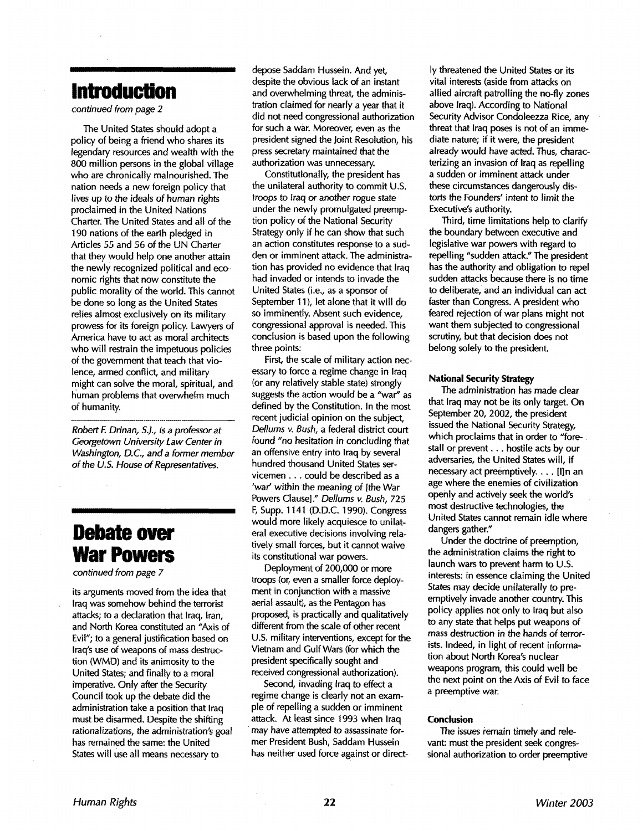## **Introduction**

continued from page 2

The United States should adopt a policy of being a friend who shares its legendary resources and wealth with the 800 million persons in the global village who are chronically malnourished. The nation needs a new foreign policy that lives up to the ideals of human rights proclaimed in the United Nations Charter. The United States and all of the 190 nations of the earth pledged in Articles 55 and 56 of the UN Charter that they would help one another attain the newly recognized political and economic rights that now constitute the public morality of the world. This cannot be done so long as the United States relies almost exclusively on its military prowess for its foreign policy. Lawyers of America have to act as moral architects who will restrain the impetuous policies of the government that teach that violence, armed conflict, and military might can solve the moral, spiritual, and human problems that overwhelm much of humanity.

Robert **F** Drinan, **5.).,** is a professor at Georgetown University Law Center in Washington, *D.C.,* and a former member of the **U.S.** House of Representatives.

## **Debate over War Powers**

continued from page 7

its arguments moved from the idea that Iraq was somehow behind the terrorist attacks; to a declaration that Iraq, Iran, and North Korea constituted an "Axis of Evil"; to a general justification based on Iraq's use of weapons of mass destruction (WMD) and its animosity to the United States; and finally to a moral imperative. Only after the Security Council took up the debate did the administration take a position that Iraq must be disarmed. Despite the shifting rationalizations, the administration's goal has remained the same: the United States will use all means necessary to

depose Saddam Hussein. And yet, despite the obvious lack of an instant and overwhelming threat, the administration claimed for nearly a year that it did not need congressional authorization for such a war. Moreover, even as the president signed the Joint Resolution, his press secretary maintained that the authorization was unnecessary.

Constitutionally, the president has the unilateral authority to commit U.S. troops to Iraq or another rogue state under the newly promulgated preemption policy of the National Security Strategy only if he can show that such an action constitutes response to a sudden or imminent attack. The administration has provided no evidence that Iraq had invaded or intends to invade the United States (i.e., as a sponsor of September 11), let alone that it will do so imminently. Absent such evidence, congressional approval is needed. This conclusion is based upon the following three points:

First, the scale of military action necessary to force a regime change in Iraq (or any relatively stable state) strongly suggests the action would be a "war" as defined by the Constitution. In the most recent judicial opinion on the subject, Dellums v. Bush, a federal district court found "no hesitation in concluding that an offensive entry into Iraq by several hundred thousand United States servicemen **...** could be described as a 'war' within the meaning of [the War Powers Clause]." Dellums v. Bush, **725** F, Supp. 1141 (D.D.C. 1990). Congress would more likely acquiesce to unilateral executive decisions involving relatively small forces, but it cannot waive its constitutional war powers.

Deployment of 200,000 or more troops (or, even a smaller force deployment in conjunction with a massive aerial assault), as the Pentagon has proposed, is practically and qualitatively different from the scale of other recent U.S. military interventions, except for the Vietnam and Gulf Wars (for which the president specifically sought and received congressional authorization).

Second, invading Iraq to effect a regime change is clearly not an example of repelling a sudden or imminent attack. At least since 1993 when Iraq may have attempted to assassinate former President Bush, Saddam Hussein has neither used force against or directly threatened the United States or its vital interests (aside from attacks on allied aircraft patrolling the no-fly zones above Iraq). According to National Security Advisor Condoleezza Rice, any threat that Iraq poses is not of an immediate nature; if it were, the president already would have acted. Thus, characterizing an invasion of Iraq as repelling a sudden or imminent attack under these circumstances dangerously distorts the Founders' intent to limit the Executive's authority.

Third, time limitations help to clarify the boundary between executive and legislative war powers with regard to repelling "sudden attack." The president has the authority and obligation to repel sudden attacks because there is no time to deliberate, and an individual can act faster than Congress. A president who feared rejection of war plans might not want them subjected to congressional scrutiny, but that decision does not belong solely to the president.

#### National Security Strategy

The administration has made clear that Iraq may not be its only target. On September 20, 2002, the president issued the National Security Strategy, which proclaims that in order to "forestall or prevent **...** hostile acts by our adversaries, the United States will, if necessary act preemptively. . . . [I]n an age where the enemies of civilization openly and actively seek the world's most destructive technologies, the United States cannot remain idle where dangers gather."

Under the doctrine of preemption, the administration claims the right to launch wars to prevent harm to **U.S.** interests: in essence claiming the United States may decide unilaterally to preemptively invade another country. This policy applies not only to Iraq but also to any state that helps put weapons of mass destruction in the hands of terrorists. Indeed, in light of recent information about North Korea's nuclear weapons program, this could well be the next point on the Axis of Evil to face a preemptive war.

#### **Conclusion**

The issues remain timely and relevant: must the president seek congressional authorization to order preemptive